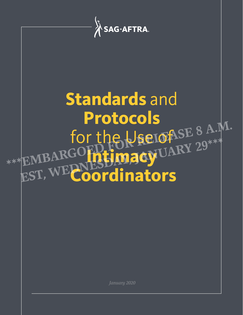

 *January 2020*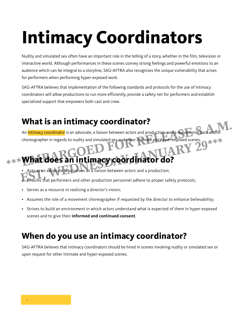# **Intimacy Coordinators**

Nudity and simulated sex often have an important role in the telling of a story, whether in the film, television or interactive world. Although performances in these scenes convey strong feelings and powerful emotions to an audience which can be integral to a storyline, SAG-AFTRA also recognizes the unique vulnerability that arises for performers when performing hyper-exposed work.

SAG-AFTRA believes that implementation of the following standards and protocols for the use of intimacy coordinators will allow productions to run more efficiently, provide a safety net for performers and establish specialized support that empowers both cast and crew.

## **What is an intimacy coordinator?**

An intimacy coordinator is an advocate, a liaison between actors and production, and a movement coach and/or<br>choreographer in regards to nudity and simulated sex and other intimate and hyper-exposed scenes.<br>A DCCORD RDCCOR choreographer in regards to nudity and simulated sex and other intimate and hyper-exposed scenes. what is an intimacy coordinator?<br>
An intimacy coordinator is an advocate, a liaison between actors and production, and a movement coach and/or<br>
choreographer in regards to nudity and simulated sex and other intimate and hy

• Acts as an advocate who serves as a liaison between actors and a production; • Ensures that performers and other production personnel adhere to proper safety protocols; choreographer in regards to nudity and simulated sex and other intimate and hyper-exposed scenes.<br> **EST, What does an intimacy coordinator do?**<br> **Ensures that performers and other production personnel adhere to proper safe** 

- Serves as a resource in realizing a director's vision;
- Assumes the role of a movement choreographer if requested by the director to enhance believability;
- Strives to build an environment in which actors understand what is expected of them in hyper-exposed scenes and to give their **informed and continued consent**.

## **When do you use an intimacy coordinator?**

SAG-AFTRA believes that intimacy coordinators should be hired in scenes involving nudity or simulated sex or upon request for other intimate and hyper-exposed scenes.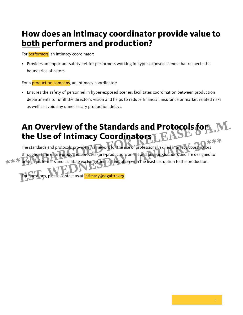### **How does an intimacy coordinator provide value to both performers and production?**

For **performers**, an intimacy coordinator:

• Provides an important safety net for performers working in hyper-exposed scenes that respects the boundaries of actors.

For a **production company**, an intimacy coordinator:

• Ensures the safety of personnel in hyper-exposed scenes, facilitates coordination between production departments to fulfill the director's vision and helps to reduce financial, insurance or market related risks as well as avoid any unnecessary production delays.

## An Overview of the Standards and Protocols for **M.**<br>the Use of Intimacy Coordinators<br>The standards and protocols provide a framework for the use of professional, skilled intimacy coordinators<br>throughout the entire producti **the Use of Intimacy Coordinators**

The standards and protocols provide a framework for the use of professional, skilled intimacy coordinators throughout the entire production process (pre-production, on-set and post-production), and are designed to protect performers and facilitate exchange and collaboration with the least disruption to the production. The standards and protocols provide a framework for the use of professional, skilled intimacy coordinators<br>throughout the entire production process (pre-production, on-set and post-production), and are designed to<br>protect

questions, please contact us at **intimacy@sagaftra.org**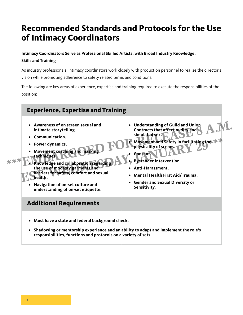## **Recommended Standards and Protocols for the Use of Intimacy Coordinators**

#### **Intimacy Coordinators Serve as Professional Skilled Artists, with Broad Industry Knowledge, Skills and Training**

As industry professionals, intimacy coordinators work closely with production personnel to realize the director's vision while promoting adherence to safety related terms and conditions.

The following are key areas of experience, expertise and training required to execute the responsibilities of the position:



- **• Must have a state and federal background check.**
- **• Shadowing or mentorship experience and an ability to adapt and implement the role's responsibilities, functions and protocols on a variety of sets.**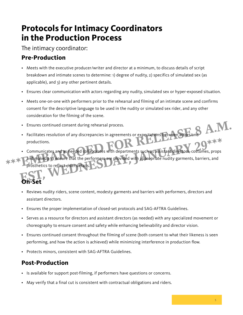## **Protocols for Intimacy Coordinators in the Production Process**

The intimacy coordinator:

### **Pre-Production**

- Meets with the executive producer/writer and director at a minimum, to discuss details of script breakdown and intimate scenes to determine: 1) degree of nudity, 2) specifics of simulated sex (as applicable), and 3) any other pertinent details.
- Ensures clear communication with actors regarding any nudity, simulated sex or hyper-exposed situation.
- Meets one-on-one with performers prior to the rehearsal and filming of an intimate scene and confirms consent for the descriptive language to be used in the nudity or simulated sex rider, and any other consideration for the filming of the scene.
- Ensures continued consent during rehearsal process.
- Facilitates resolution of any discrepancies in agreements or expectations between actors and productions. • Ensures continued consent during rehearsal process.<br>• Facilitates resolution of any discrepancies in agreements or expectations between actors and<br>• productions.<br>• Communicates and as needed collaborates with departments
	- Communicates and as needed collaborates with departments such as assistant directors, costumes, props

and makeup to ensure that the performers are provided with appropriate nudity garments, barriers, and prosthetics to reflect rider details. productions.<br>
Communicates and as needed collaborates with departments such as assistant directors, costumes, props<br> **Example with a property of the performers** are provided with appropriate nudity garments, barriers, and<br>

## **On-Set**

- Reviews nudity riders, scene content, modesty garments and barriers with performers, directors and assistant directors.
- Ensures the proper implementation of closed-set protocols and SAG-AFTRA Guidelines.
- Serves as a resource for directors and assistant directors (as needed) with any specialized movement or choreography to ensure consent and safety while enhancing believability and director vision.
- Ensures continued consent throughout the filming of scene (both consent to what their likeness is seen performing, and how the action is achieved) while minimizing interference in production flow.
- Protects minors, consistent with SAG-AFTRA Guidelines.

### **Post-Production**

- Is available for support post-filming, if performers have questions or concerns.
- May verify that a final cut is consistent with contractual obligations and riders.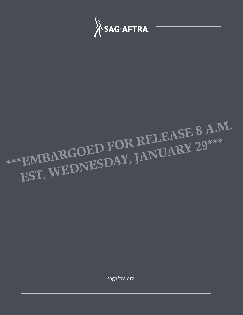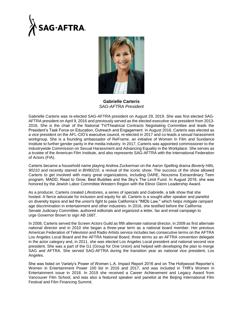



**Gabrielle Carteris** *SAG-AFTRA President*

Gabrielle Carteris was re-elected SAG-AFTRA president on August 29, 2019. She was first elected SAG-AFTRA president on April 9, 2016 and previously served as the elected executive vice president from 2013- 2016. She is the chair of the National TV/Theatrical Contracts Negotiating Committee and leads the President's Task Force on Education, Outreach and Engagement. In August 2016, Carteris was elected as a vice president on the AFL-CIO's executive council, re-elected in 2017 and co-leads a sexual harassment workgroup. She is a founding ambassador of ReFrame, an initiative of Women In Film and Sundance Institute to further gender parity in the media industry. In 2017, Carteris was appointed commissioner to the Industrywide Commission on Sexual Harassment and Advancing Equality in the Workplace. She serves as a trustee of the American Film Institute, and also represents SAG-AFTRA with the International Federation of Actors (FIA).

Carteris became a household name playing Andrea Zuckerman on the Aaron Spelling drama *Beverly Hills, 90210* and recently starred in *BH90210*, a revival of the iconic show. The success of the show allowed Carteris to get involved with many great organizations, including DARE, Noxzema Extraordinary Teen program, MADD, Read to Grow, Best Buddies and the Sky's The Limit Fund. In August 2016, she was honored by the Jewish Labor Committee Western Region with the Elinor Glenn Leadership Award.

As a producer, Carteris created *Lifestories*, a series of specials and *Gabrielle*, a talk show that she hosted. A fierce advocate for inclusion and equity for all, Carteris is a sought-after speaker and panelist on diversity topics and led the union's fight to pass California's "IMDb Law," which helps mitigate rampant age discrimination in entertainment and other industries. In 2016, she testified before the California Senate Judiciary Committee, authored editorials and organized a letter, fax and email campaign to urge Governor Brown to sign AB 1687.

In 2008, Carteris served the Screen Actors Guild as fifth alternate national director, in 2009 as first alternate national director and in 2010 she began a three-year term as a national board member. Her previous American Federation of Television and Radio Artists service includes two consecutive terms on the AFTRA Los Angeles Local Board and the AFTRA National Board, three terms as an AFTRA convention delegate in the actor category and, in 2011, she was elected Los Angeles Local president and national second vice president. She was a part of the G1 (Group for One Union) and helped with developing the plan to merge SAG and AFTRA. She served SAG-AFTRA during the transition year as national vice president, Los Angeles.

She was listed on Variety's Power of Women L.A. Impact Report 2016 and on The Hollywood Reporter's Women in Entertainment Power 100 list in 2016 and 2017, and was included in THR's Women in Entertainment issue in 2018. In 2019 she received a Career Achievement and Legacy Award from Vancouver Film School, and was also a featured speaker and panelist at the Beijing International Film Festival and Film Financing Summit.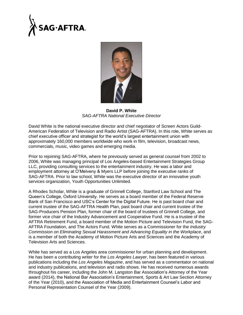



**David P. White** *SAG-AFTRA National Executive Director*

David White is the national executive director and chief negotiator of Screen Actors Guild-American Federation of Television and Radio Artist (SAG-AFTRA). In this role, White serves as chief executive officer and strategist for the world's largest entertainment union with approximately 160,000 members worldwide who work in film, television, broadcast news, commercials, music, video games and emerging media.

Prior to rejoining SAG-AFTRA, where he previously served as general counsel from 2002 to 2006, White was managing principal of Los Angeles-based Entertainment Strategies Group LLC, providing consulting services to the entertainment industry. He was a labor and employment attorney at O'Melveny & Myers LLP before joining the executive ranks of SAG-AFTRA. Prior to law school, White was the executive director of an innovative youth services organization, Youth Opportunities Unlimited.

A Rhodes Scholar, White is a graduate of Grinnell College, Stanford Law School and The Queen's College, Oxford University. He serves as a board member of the Federal Reserve Bank of San Francisco and USC's Center for the Digital Future. He is past board chair and current trustee of the SAG-AFTRA Health Plan, past board chair and current trustee of the SAG-Producers Pension Plan, former chair of the board of trustees of Grinnell College, and former vice chair of the Industry Advancement and Cooperative Fund. He is a trustee of the AFTRA Retirement Fund, a board member of the Motion Picture and Television Fund, the SAG-AFTRA Foundation, and The Actors Fund. White serves as a Commissioner for the *Industry Commission on Eliminating Sexual Harassment and Advancing Equality in the Workplace*, and is a member of both the Academy of Motion Picture Arts and Sciences and the Academy of Television Arts and Sciences.

White has served as a Los Angeles area commissioner for urban planning and development. He has been a contributing writer for the *Los Angeles Lawyer*, has been featured in various publications including the *Los Angeles Magazine*, and has served as a commentator on national and industry publications, and television and radio shows. He has received numerous awards throughout his career, including the John M. Langston Bar Association's Attorney of the Year award (2014), the National Bar Association's Entertainment, Sports & Art Law Section Attorney of the Year (2010), and the Association of Media and Entertainment Counsel's Labor and Personal Representation Counsel of the Year (2009).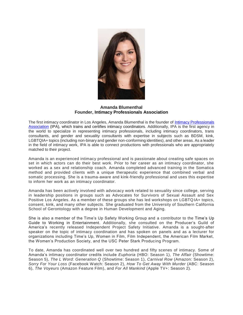

**Amanda Blumenthal Founder, Intimacy Professionals Association**

The first intimacy coordinator in Los Angeles, Amanda Blumenthal is the founder of [Intimacy Professionals](https://www.intimacyprofessionalsassociation.com/)  [Association](https://www.intimacyprofessionalsassociation.com/) (IPA), which trains and certifies intimacy coordinators. Additionally, IPA is the first agency in the world to specialize in representing intimacy professionals, including intimacy coordinators, trans consultants, and gender and sexuality consultants with expertise in subjects such as BDSM, kink, LGBTQIA+ topics (including non-binary and gender non-conforming identities), and other areas. As a leader in the field of intimacy work, IPA is able to connect productions with professionals who are appropriately matched to their project.

Amanda is an experienced intimacy professional and is passionate about creating safe spaces on set in which actors can do their best work. Prior to her career as an intimacy coordinator, she worked as a sex and relationship coach. Amanda completed advanced training in the Somatica method and provided clients with a unique therapeutic experience that combined verbal and somatic processing. She is a trauma-aware and kink-friendly professional and uses this expertise to inform her work as an intimacy coordinator.

Amanda has been actively involved with advocacy work related to sexuality since college, serving in leadership positions in groups such as Advocates for Survivors of Sexual Assault and Sex Positive Los Angeles. As a member of these groups she has led workshops on LGBTQIA+ topics, consent, kink, and many other subjects. She graduated from the University of Southern California School of Gerontology with a degree in Human Development and Aging.

She is also a member of the Time's Up Safety Working Group and a contributor to the Time's Up Guide to Working in Entertainment. Additionally, she consulted on the Producer's Guild of America's recently released Independent Project Safety Initiative. Amanda is a sought-after speaker on the topic of intimacy coordination and has spoken on panels and as a lecturer for organizations including Time's Up, Women in Film, Film Independent, the American Film Market, the Women's Production Society, and the USC Peter Stark Producing Program.

To date, Amanda has coordinated well over two hundred and fifty scenes of intimacy. Some of Amanda's intimacy coordinator credits include *Euphoria* (HBO: Season 1), *The Affair* (Showtime: Season 5), *The L Word: Generation Q* (Showtime: Season 1), *Carnival Row* (Amazon: Season 2), *Sorry For Your Loss* (Facebook Watch: Season 2), *How To Get Away With Murder* (ABC: Season 6), *The Voyeurs* (Amazon Feature Film), and *For All Mankind* (Apple TV+: Season 2).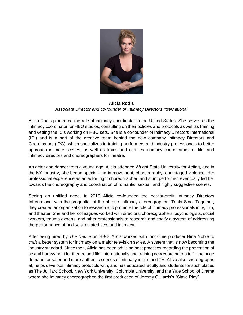

#### **Alicia Rodis** *Associate Director and co-founder of Intimacy Directors International*

Alicia Rodis pioneered the role of intimacy coordinator in the United States. She serves as the intimacy coordinator for HBO studios, consulting on their policies and protocols as well as training and vetting the IC's working on HBO sets. She is a co-founder of Intimacy Directors International (IDI) and is a part of the creative team behind the new company Intimacy Directors and Coordinators (IDC), which specializes in training performers and industry professionals to better approach intimate scenes, as well as trains and certifies intimacy coordinators for film and intimacy directors and choreographers for theatre.

An actor and dancer from a young age, Alicia attended Wright State University for Acting, and in the NY industry, she began specializing in movement, choreography, and staged violence. Her professional experience as an actor, fight choreographer, and stunt performer, eventually led her towards the choreography and coordination of romantic, sexual, and highly suggestive scenes.

Seeing an unfilled need, in 2015 Alicia co-founded the not-for-profit Intimacy Directors International with the progenitor of the phrase 'intimacy choreographer,' Tonia Sina. Together, they created an organization to research and promote the role of intimacy professionals in tv, film, and theater. She and her colleagues worked with directors, choreographers, psychologists, social workers, trauma experts, and other professionals to research and codify a system of addressing the performance of nudity, simulated sex, and intimacy.

After being hired by *The Deuce* on HBO, Alicia worked with long-time producer Nina Noble to craft a better system for intimacy on a major television series. A system that is now becoming the industry standard. Since then, Alicia has been advising best practices regarding the prevention of sexual harassment for theatre and film internationally and training new coordinators to fill the huge demand for safer and more authentic scenes of intimacy in film and TV. Alicia also choreographs at, helps develops intimacy protocols with, and has educated faculty and students for such places as The Juilliard School, New York University, Columbia University, and the Yale School of Drama where she intimacy choreographed the first production of Jeremy O'Harris's "Slave Play".